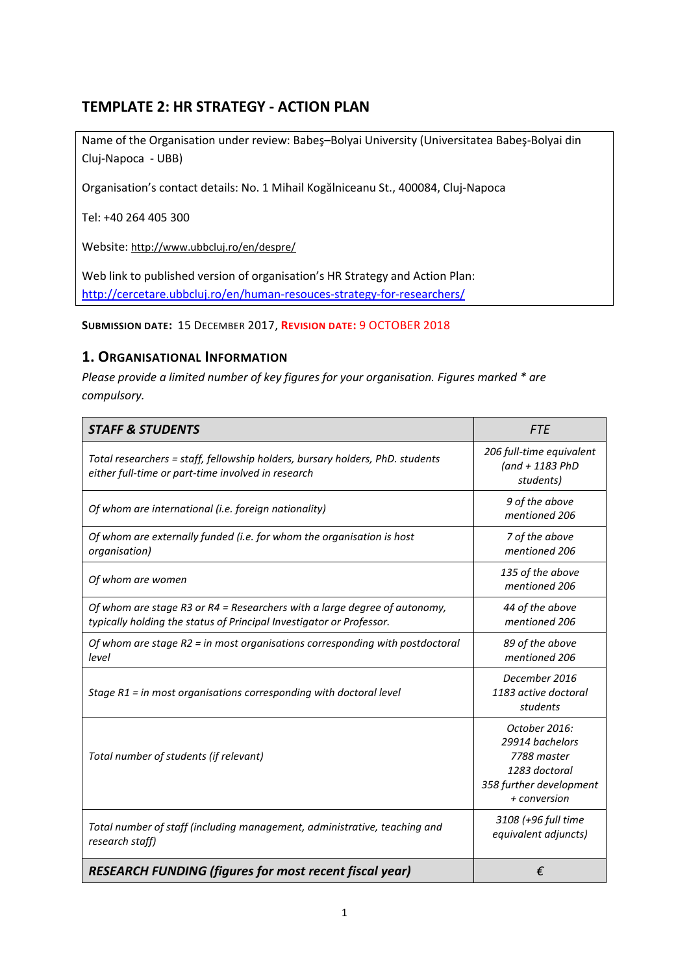# **TEMPLATE 2: HR STRATEGY - ACTION PLAN**

Name of the Organisation under review: Babeş–Bolyai University (Universitatea Babeş-Bolyai din Cluj-Napoca - UBB)

Organisation's contact details: No. 1 Mihail Kogălniceanu St., 400084, Cluj-Napoca

Tel: +40 264 405 300

Website: <http://www.ubbcluj.ro/en/despre/>

Web link to published version of organisation's HR Strategy and Action Plan: <http://cercetare.ubbcluj.ro/en/human-resouces-strategy-for-researchers/>

**SUBMISSION DATE:** 15 DECEMBER 2017, **REVISION DATE:** 9 OCTOBER 2018

### **1. ORGANISATIONAL INFORMATION**

*Please provide a limited number of key figures for your organisation. Figures marked \* are compulsory.*

| <b>STAFF &amp; STUDENTS</b>                                                                                                                       | <b>FTE</b>                                                                                                  |
|---------------------------------------------------------------------------------------------------------------------------------------------------|-------------------------------------------------------------------------------------------------------------|
| Total researchers = staff, fellowship holders, bursary holders, PhD. students<br>either full-time or part-time involved in research               | 206 full-time equivalent<br>$(and + 1183 PhD)$<br>students)                                                 |
| Of whom are international (i.e. foreign nationality)                                                                                              | 9 of the above<br>mentioned 206                                                                             |
| Of whom are externally funded (i.e. for whom the organisation is host<br>organisation)                                                            | 7 of the above<br>mentioned 206                                                                             |
| Of whom are women                                                                                                                                 | 135 of the above<br>mentioned 206                                                                           |
| Of whom are stage R3 or R4 = Researchers with a large degree of autonomy,<br>typically holding the status of Principal Investigator or Professor. | 44 of the above<br>mentioned 206                                                                            |
| Of whom are stage $R2$ = in most organisations corresponding with postdoctoral<br>level                                                           | 89 of the above<br>mentioned 206                                                                            |
| Stage R1 = in most organisations corresponding with doctoral level                                                                                | December 2016<br>1183 active doctoral<br>students                                                           |
| Total number of students (if relevant)                                                                                                            | October 2016:<br>29914 bachelors<br>7788 master<br>1283 doctoral<br>358 further development<br>+ conversion |
| Total number of staff (including management, administrative, teaching and<br>research staff)                                                      | 3108 (+96 full time<br>equivalent adjuncts)                                                                 |
| <b>RESEARCH FUNDING (figures for most recent fiscal year)</b>                                                                                     | €                                                                                                           |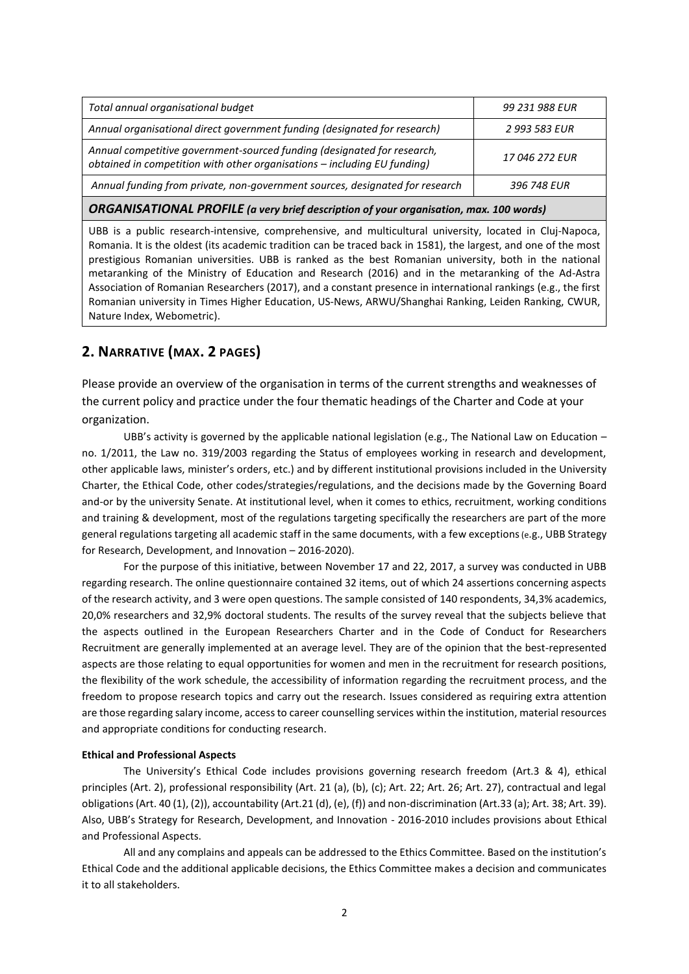| Annual funding from private, non-government sources, designated for research                                                                        | 396 748 EUR    |
|-----------------------------------------------------------------------------------------------------------------------------------------------------|----------------|
| Annual competitive government-sourced funding (designated for research,<br>obtained in competition with other organisations - including EU funding) | 17 046 272 EUR |
| Annual organisational direct government funding (designated for research)                                                                           | 2 993 583 EUR  |
| Total annual organisational budget                                                                                                                  | 99 231 988 EUR |
|                                                                                                                                                     |                |

*ORGANISATIONAL PROFILE (a very brief description of your organisation, max. 100 words)*

UBB is a public research-intensive, comprehensive, and multicultural university, located in Cluj-Napoca, Romania. It is the oldest (its academic tradition can be traced back in 1581), the largest, and one of the most prestigious Romanian universities. UBB is ranked as the best Romanian university, both in the national metaranking of the Ministry of Education and Research (2016) and in the metaranking of the Ad-Astra Association of Romanian Researchers (2017), and a constant presence in international rankings (e.g., the first Romanian university in Times Higher Education, US-News, ARWU/Shanghai Ranking, Leiden Ranking, CWUR, Nature Index, Webometric).

### **2. NARRATIVE (MAX. 2 PAGES)**

Please provide an overview of the organisation in terms of the current strengths and weaknesses of the current policy and practice under the four thematic headings of the Charter and Code at your organization.

UBB's activity is governed by the applicable national legislation (e.g., The National Law on Education – no. 1/2011, the Law no. 319/2003 regarding the Status of employees working in research and development, other applicable laws, minister's orders, etc.) and by different institutional provisions included in the University Charter, the Ethical Code, other codes/strategies/regulations, and the decisions made by the Governing Board and-or by the university Senate. At institutional level, when it comes to ethics, recruitment, working conditions and training & development, most of the regulations targeting specifically the researchers are part of the more general regulations targeting all academic staff in the same documents, with a few exceptions(e.g., UBB Strategy for Research, Development, and Innovation – 2016-2020).

For the purpose of this initiative, between November 17 and 22, 2017, a survey was conducted in UBB regarding research. The online questionnaire contained 32 items, out of which 24 assertions concerning aspects of the research activity, and 3 were open questions. The sample consisted of 140 respondents, 34,3% academics, 20,0% researchers and 32,9% doctoral students. The results of the survey reveal that the subjects believe that the aspects outlined in the European Researchers Charter and in the Code of Conduct for Researchers Recruitment are generally implemented at an average level. They are of the opinion that the best-represented aspects are those relating to equal opportunities for women and men in the recruitment for research positions, the flexibility of the work schedule, the accessibility of information regarding the recruitment process, and the freedom to propose research topics and carry out the research. Issues considered as requiring extra attention are those regarding salary income, access to career counselling services within the institution, material resources and appropriate conditions for conducting research.

#### **Ethical and Professional Aspects**

The University's Ethical Code includes provisions governing research freedom (Art.3 & 4), ethical principles (Art. 2), professional responsibility (Art. 21 (a), (b), (c); Art. 22; Art. 26; Art. 27), contractual and legal obligations (Art. 40 (1), (2)), accountability (Art.21 (d), (e), (f)) and non-discrimination (Art.33 (a); Art. 38; Art. 39). Also, UBB's Strategy for Research, Development, and Innovation - 2016-2010 includes provisions about Ethical and Professional Aspects.

All and any complains and appeals can be addressed to the Ethics Committee. Based on the institution's Ethical Code and the additional applicable decisions, the Ethics Committee makes a decision and communicates it to all stakeholders.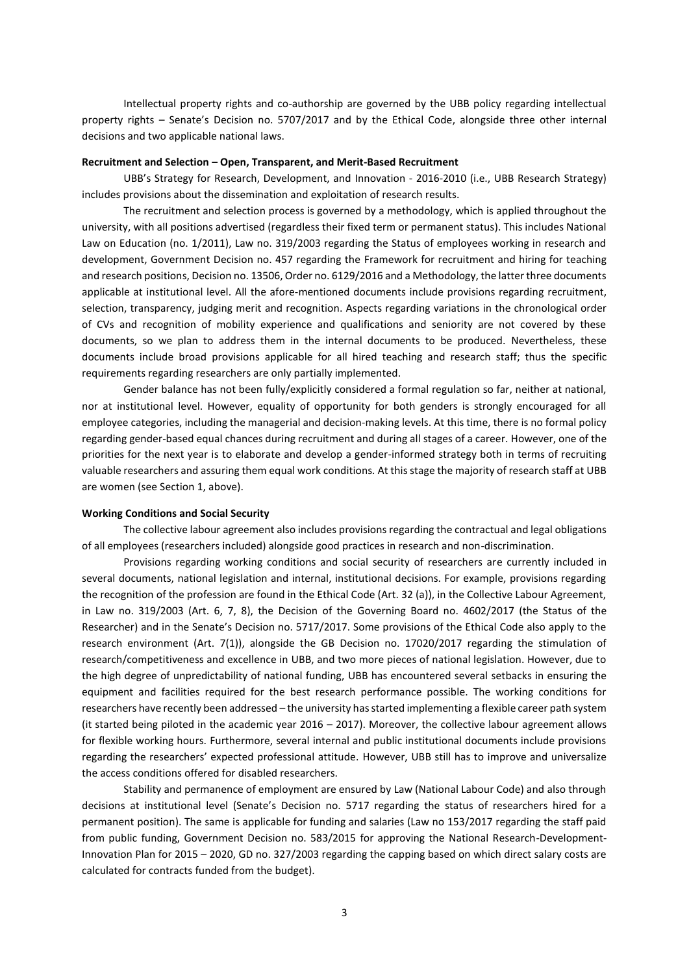Intellectual property rights and co-authorship are governed by the UBB policy regarding intellectual property rights – Senate's Decision no. 5707/2017 and by the Ethical Code, alongside three other internal decisions and two applicable national laws.

#### **Recruitment and Selection – Open, Transparent, and Merit-Based Recruitment**

UBB's Strategy for Research, Development, and Innovation - 2016-2010 (i.e., UBB Research Strategy) includes provisions about the dissemination and exploitation of research results.

The recruitment and selection process is governed by a methodology, which is applied throughout the university, with all positions advertised (regardless their fixed term or permanent status). This includes National Law on Education (no. 1/2011), Law no. 319/2003 regarding the Status of employees working in research and development, Government Decision no. 457 regarding the Framework for recruitment and hiring for teaching and research positions, Decision no. 13506, Order no. 6129/2016 and a Methodology, the latter three documents applicable at institutional level. All the afore-mentioned documents include provisions regarding recruitment, selection, transparency, judging merit and recognition. Aspects regarding variations in the chronological order of CVs and recognition of mobility experience and qualifications and seniority are not covered by these documents, so we plan to address them in the internal documents to be produced. Nevertheless, these documents include broad provisions applicable for all hired teaching and research staff; thus the specific requirements regarding researchers are only partially implemented.

Gender balance has not been fully/explicitly considered a formal regulation so far, neither at national, nor at institutional level. However, equality of opportunity for both genders is strongly encouraged for all employee categories, including the managerial and decision-making levels. At this time, there is no formal policy regarding gender-based equal chances during recruitment and during all stages of a career. However, one of the priorities for the next year is to elaborate and develop a gender-informed strategy both in terms of recruiting valuable researchers and assuring them equal work conditions*.* At this stage the majority of research staff at UBB are women (see Section 1, above).

#### **Working Conditions and Social Security**

The collective labour agreement also includes provisions regarding the contractual and legal obligations of all employees (researchers included) alongside good practices in research and non-discrimination.

Provisions regarding working conditions and social security of researchers are currently included in several documents, national legislation and internal, institutional decisions. For example, provisions regarding the recognition of the profession are found in the Ethical Code (Art. 32 (a)), in the Collective Labour Agreement, in Law no. 319/2003 (Art. 6, 7, 8), the Decision of the Governing Board no. 4602/2017 (the Status of the Researcher) and in the Senate's Decision no. 5717/2017. Some provisions of the Ethical Code also apply to the research environment (Art. 7(1)), alongside the GB Decision no. 17020/2017 regarding the stimulation of research/competitiveness and excellence in UBB, and two more pieces of national legislation. However, due to the high degree of unpredictability of national funding, UBB has encountered several setbacks in ensuring the equipment and facilities required for the best research performance possible. The working conditions for researchers have recently been addressed – the university has started implementing a flexible career path system (it started being piloted in the academic year 2016 – 2017). Moreover, the collective labour agreement allows for flexible working hours. Furthermore, several internal and public institutional documents include provisions regarding the researchers' expected professional attitude. However, UBB still has to improve and universalize the access conditions offered for disabled researchers.

Stability and permanence of employment are ensured by Law (National Labour Code) and also through decisions at institutional level (Senate's Decision no. 5717 regarding the status of researchers hired for a permanent position). The same is applicable for funding and salaries (Law no 153/2017 regarding the staff paid from public funding, Government Decision no. 583/2015 for approving the National Research-Development-Innovation Plan for 2015 – 2020, GD no. 327/2003 regarding the capping based on which direct salary costs are calculated for contracts funded from the budget).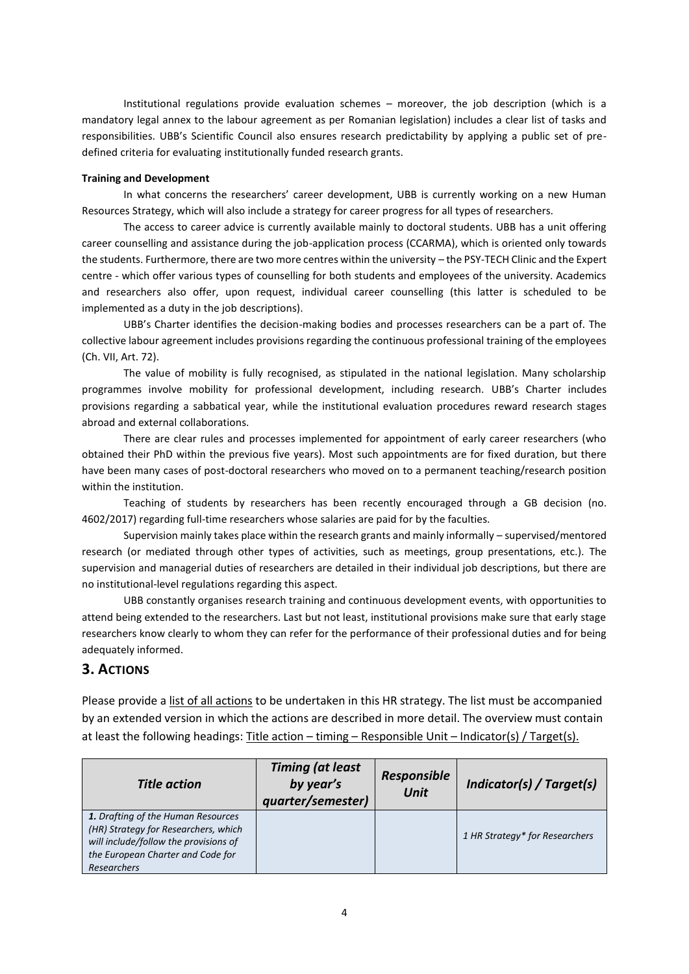Institutional regulations provide evaluation schemes – moreover, the job description (which is a mandatory legal annex to the labour agreement as per Romanian legislation) includes a clear list of tasks and responsibilities. UBB's Scientific Council also ensures research predictability by applying a public set of predefined criteria for evaluating institutionally funded research grants.

### **Training and Development**

In what concerns the researchers' career development, UBB is currently working on a new Human Resources Strategy, which will also include a strategy for career progress for all types of researchers.

The access to career advice is currently available mainly to doctoral students. UBB has a unit offering career counselling and assistance during the job-application process (CCARMA), which is oriented only towards the students. Furthermore, there are two more centres within the university – the PSY-TECH Clinic and the Expert centre - which offer various types of counselling for both students and employees of the university. Academics and researchers also offer, upon request, individual career counselling (this latter is scheduled to be implemented as a duty in the job descriptions).

UBB's Charter identifies the decision-making bodies and processes researchers can be a part of. The collective labour agreement includes provisions regarding the continuous professional training of the employees (Ch. VII, Art. 72).

The value of mobility is fully recognised, as stipulated in the national legislation. Many scholarship programmes involve mobility for professional development, including research. UBB's Charter includes provisions regarding a sabbatical year, while the institutional evaluation procedures reward research stages abroad and external collaborations.

There are clear rules and processes implemented for appointment of early career researchers (who obtained their PhD within the previous five years). Most such appointments are for fixed duration, but there have been many cases of post-doctoral researchers who moved on to a permanent teaching/research position within the institution.

Teaching of students by researchers has been recently encouraged through a GB decision (no. 4602/2017) regarding full-time researchers whose salaries are paid for by the faculties.

Supervision mainly takes place within the research grants and mainly informally – supervised/mentored research (or mediated through other types of activities, such as meetings, group presentations, etc.). The supervision and managerial duties of researchers are detailed in their individual job descriptions, but there are no institutional-level regulations regarding this aspect.

UBB constantly organises research training and continuous development events, with opportunities to attend being extended to the researchers. Last but not least, institutional provisions make sure that early stage researchers know clearly to whom they can refer for the performance of their professional duties and for being adequately informed.

## **3. ACTIONS**

Please provide a list of all actions to be undertaken in this HR strategy. The list must be accompanied by an extended version in which the actions are described in more detail. The overview must contain at least the following headings: Title action – timing – Responsible Unit – Indicator(s) / Target(s).

| <b>Title action</b>                                                                                                                                                            | <b>Timing (at least</b><br>by year's<br>quarter/semester) | <b>Responsible</b><br><b>Unit</b> | Indicator(s) / Target(s)       |
|--------------------------------------------------------------------------------------------------------------------------------------------------------------------------------|-----------------------------------------------------------|-----------------------------------|--------------------------------|
| 1. Drafting of the Human Resources<br>(HR) Strategy for Researchers, which<br>will include/follow the provisions of<br>the European Charter and Code for<br><b>Researchers</b> |                                                           |                                   | 1 HR Strategy* for Researchers |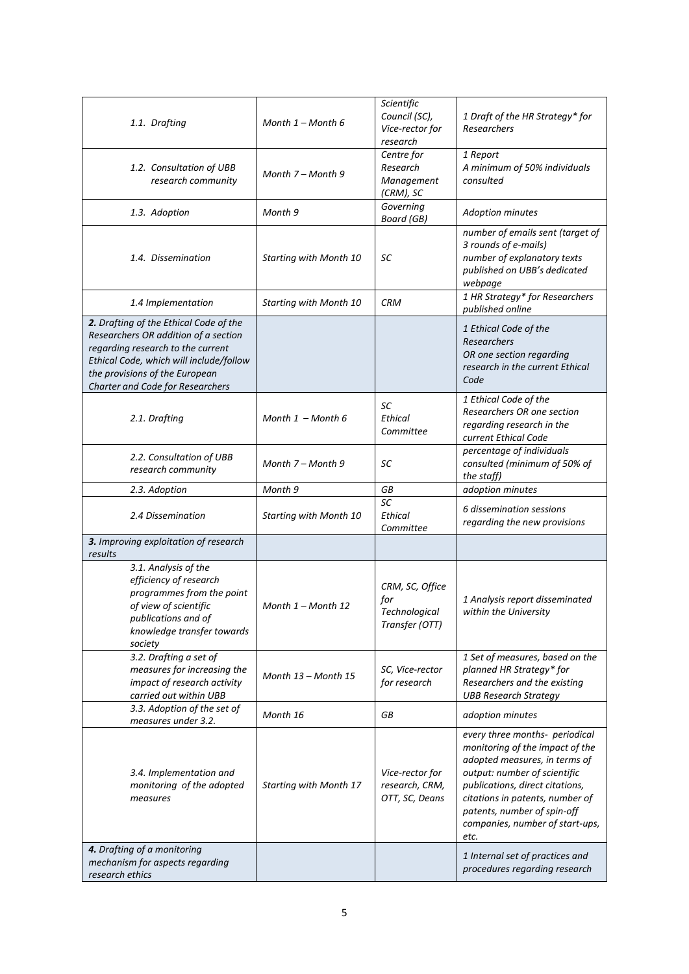| 1.1. Drafting                                                                                                                                                                                                                        | Month $1 -$ Month 6           | Scientific<br>Council (SC),<br>Vice-rector for<br>research | 1 Draft of the HR Strategy* for<br>Researchers                                                                                                                                                                                                                                     |
|--------------------------------------------------------------------------------------------------------------------------------------------------------------------------------------------------------------------------------------|-------------------------------|------------------------------------------------------------|------------------------------------------------------------------------------------------------------------------------------------------------------------------------------------------------------------------------------------------------------------------------------------|
| 1.2. Consultation of UBB<br>research community                                                                                                                                                                                       | Month 7 – Month 9             | Centre for<br>Research<br>Management<br>(CRM), SC          | 1 Report<br>A minimum of 50% individuals<br>consulted                                                                                                                                                                                                                              |
| 1.3. Adoption                                                                                                                                                                                                                        | Month 9                       | Governing<br><b>Board</b> (GB)                             | <b>Adoption minutes</b>                                                                                                                                                                                                                                                            |
| 1.4. Dissemination                                                                                                                                                                                                                   | Starting with Month 10        | SC                                                         | number of emails sent (target of<br>3 rounds of e-mails)<br>number of explanatory texts<br>published on UBB's dedicated<br>webpage                                                                                                                                                 |
| 1.4 Implementation                                                                                                                                                                                                                   | <b>Starting with Month 10</b> | <b>CRM</b>                                                 | 1 HR Strategy* for Researchers<br>published online                                                                                                                                                                                                                                 |
| 2. Drafting of the Ethical Code of the<br>Researchers OR addition of a section<br>regarding research to the current<br>Ethical Code, which will include/follow<br>the provisions of the European<br>Charter and Code for Researchers |                               |                                                            | 1 Ethical Code of the<br>Researchers<br>OR one section regarding<br>research in the current Ethical<br>Code                                                                                                                                                                        |
| 2.1. Drafting                                                                                                                                                                                                                        | Month $1 -$ Month 6           | SC<br><b>Ethical</b><br>Committee                          | 1 Ethical Code of the<br>Researchers OR one section<br>regarding research in the<br>current Ethical Code                                                                                                                                                                           |
| 2.2. Consultation of UBB<br>research community                                                                                                                                                                                       | Month 7 – Month 9             | SC                                                         | percentage of individuals<br>consulted (minimum of 50% of<br>the staff)                                                                                                                                                                                                            |
| 2.3. Adoption                                                                                                                                                                                                                        | Month 9                       | GB                                                         | adoption minutes                                                                                                                                                                                                                                                                   |
| 2.4 Dissemination                                                                                                                                                                                                                    | <b>Starting with Month 10</b> | SC<br><b>Ethical</b><br>Committee                          | 6 dissemination sessions<br>regarding the new provisions                                                                                                                                                                                                                           |
| 3. Improving exploitation of research<br>results                                                                                                                                                                                     |                               |                                                            |                                                                                                                                                                                                                                                                                    |
| 3.1. Analysis of the<br>efficiency of research<br>programmes from the point<br>of view of scientific<br>publications and of<br>knowledge transfer towards<br>society                                                                 | Month $1 -$ Month 12          | CRM, SC, Office<br>for<br>Technological<br>Transfer (OTT)  | 1 Analysis report disseminated<br>within the University                                                                                                                                                                                                                            |
| 3.2. Drafting a set of<br>measures for increasing the<br>impact of research activity<br>carried out within UBB                                                                                                                       | Month 13 - Month 15           | SC, Vice-rector<br>for research                            | 1 Set of measures, based on the<br>planned HR Strategy* for<br>Researchers and the existing<br><b>UBB Research Strategy</b>                                                                                                                                                        |
| 3.3. Adoption of the set of<br>measures under 3.2.                                                                                                                                                                                   | Month 16                      | GВ                                                         | adoption minutes                                                                                                                                                                                                                                                                   |
| 3.4. Implementation and<br>monitoring of the adopted<br>measures                                                                                                                                                                     | <b>Starting with Month 17</b> | Vice-rector for<br>research, CRM,<br>OTT, SC, Deans        | every three months- periodical<br>monitoring of the impact of the<br>adopted measures, in terms of<br>output: number of scientific<br>publications, direct citations,<br>citations in patents, number of<br>patents, number of spin-off<br>companies, number of start-ups,<br>etc. |
| 4. Drafting of a monitoring<br>mechanism for aspects regarding<br>research ethics                                                                                                                                                    |                               |                                                            | 1 Internal set of practices and<br>procedures regarding research                                                                                                                                                                                                                   |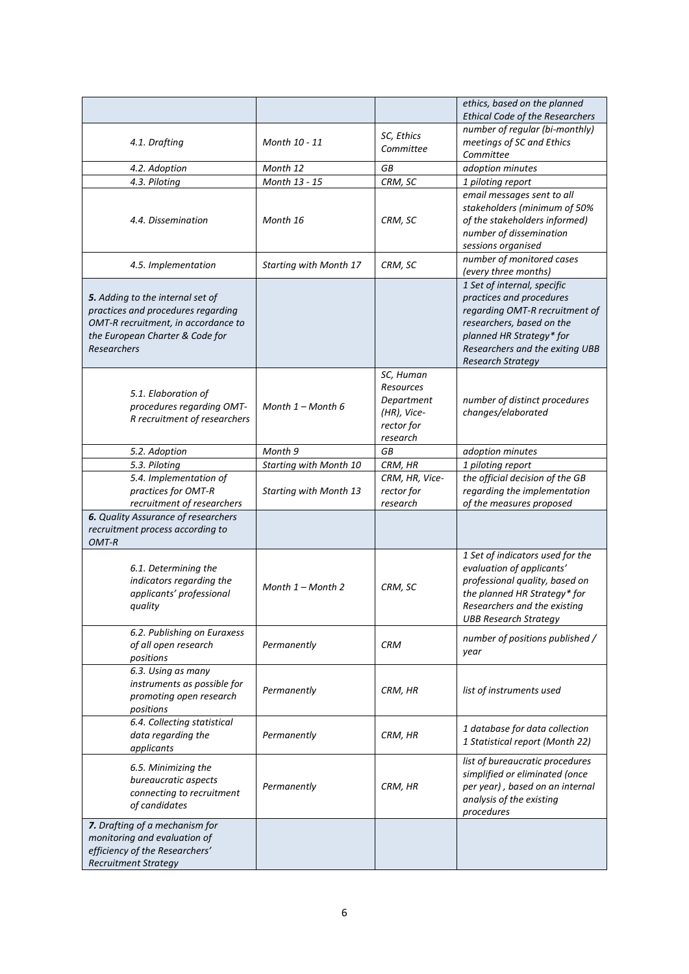|                                                                                                                                                                 |                               |                                                                               | ethics, based on the planned<br><b>Ethical Code of the Researchers</b>                                                                                                                                            |
|-----------------------------------------------------------------------------------------------------------------------------------------------------------------|-------------------------------|-------------------------------------------------------------------------------|-------------------------------------------------------------------------------------------------------------------------------------------------------------------------------------------------------------------|
| 4.1. Drafting                                                                                                                                                   | Month 10 - 11                 | SC, Ethics<br>Committee                                                       | number of regular (bi-monthly)<br>meetings of SC and Ethics<br>Committee                                                                                                                                          |
| 4.2. Adoption                                                                                                                                                   | Month 12                      | GB                                                                            | adoption minutes                                                                                                                                                                                                  |
| 4.3. Piloting                                                                                                                                                   | Month 13 - 15                 | CRM, SC                                                                       | 1 piloting report                                                                                                                                                                                                 |
| 4.4. Dissemination                                                                                                                                              | Month 16                      | CRM, SC                                                                       | email messages sent to all<br>stakeholders (minimum of 50%<br>of the stakeholders informed)<br>number of dissemination<br>sessions organised                                                                      |
| 4.5. Implementation                                                                                                                                             | <b>Starting with Month 17</b> | CRM, SC                                                                       | number of monitored cases<br>(every three months)                                                                                                                                                                 |
| 5. Adding to the internal set of<br>practices and procedures regarding<br>OMT-R recruitment, in accordance to<br>the European Charter & Code for<br>Researchers |                               |                                                                               | 1 Set of internal, specific<br>practices and procedures<br>regarding OMT-R recruitment of<br>researchers, based on the<br>planned HR Strategy* for<br>Researchers and the exiting UBB<br><b>Research Strategy</b> |
| 5.1. Elaboration of<br>procedures regarding OMT-<br>R recruitment of researchers                                                                                | Month $1 -$ Month 6           | SC, Human<br>Resources<br>Department<br>(HR), Vice-<br>rector for<br>research | number of distinct procedures<br>changes/elaborated                                                                                                                                                               |
| 5.2. Adoption                                                                                                                                                   | Month 9                       | GB                                                                            | adoption minutes                                                                                                                                                                                                  |
| 5.3. Piloting                                                                                                                                                   | Starting with Month 10        | CRM, HR                                                                       | 1 piloting report                                                                                                                                                                                                 |
| 5.4. Implementation of<br>practices for OMT-R<br>recruitment of researchers                                                                                     | <b>Starting with Month 13</b> | CRM, HR, Vice-<br>rector for<br>research                                      | the official decision of the GB<br>regarding the implementation<br>of the measures proposed                                                                                                                       |
| <b>6.</b> Quality Assurance of researchers<br>recruitment process according to<br>OMT-R                                                                         |                               |                                                                               |                                                                                                                                                                                                                   |
| 6.1. Determining the<br>indicators regarding the<br>applicants' professional<br>quality                                                                         | Month $1 -$ Month 2           | CRM, SC                                                                       | 1 Set of indicators used for the<br>evaluation of applicants'<br>professional quality, based on<br>the planned HR Strategy* for<br>Researchers and the existing<br><b>UBB Research Strategy</b>                   |
| 6.2. Publishing on Euraxess<br>of all open research<br>positions                                                                                                | Permanently                   | <b>CRM</b>                                                                    | number of positions published /<br>year                                                                                                                                                                           |
| 6.3. Using as many<br>instruments as possible for<br>promoting open research<br>positions                                                                       | Permanently                   | CRM, HR                                                                       | list of instruments used                                                                                                                                                                                          |
| 6.4. Collecting statistical<br>data regarding the<br>applicants                                                                                                 | Permanently                   | CRM, HR                                                                       | 1 database for data collection<br>1 Statistical report (Month 22)                                                                                                                                                 |
| 6.5. Minimizing the<br>bureaucratic aspects<br>connecting to recruitment<br>of candidates                                                                       | Permanently                   | CRM, HR                                                                       | list of bureaucratic procedures<br>simplified or eliminated (once<br>per year), based on an internal<br>analysis of the existing<br>procedures                                                                    |
| 7. Drafting of a mechanism for<br>monitoring and evaluation of<br>efficiency of the Researchers'<br><b>Recruitment Strategy</b>                                 |                               |                                                                               |                                                                                                                                                                                                                   |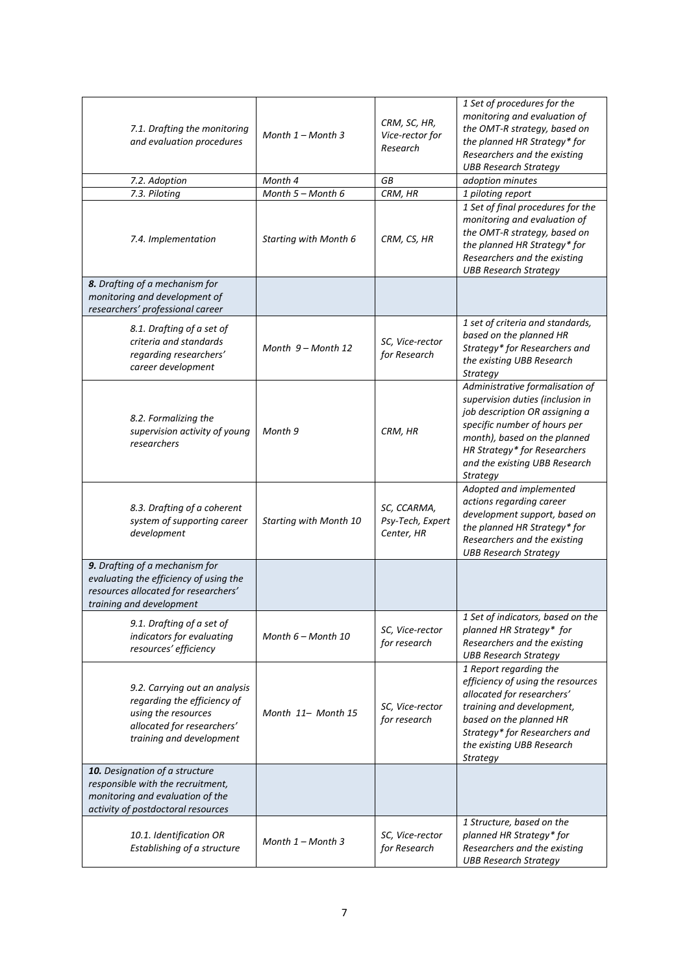| 7.1. Drafting the monitoring<br>and evaluation procedures                                                                                     | Month $1 -$ Month 3    | CRM, SC, HR,<br>Vice-rector for<br>Research   | 1 Set of procedures for the<br>monitoring and evaluation of<br>the OMT-R strategy, based on<br>the planned HR Strategy* for<br>Researchers and the existing<br><b>UBB Research Strategy</b>                                                        |
|-----------------------------------------------------------------------------------------------------------------------------------------------|------------------------|-----------------------------------------------|----------------------------------------------------------------------------------------------------------------------------------------------------------------------------------------------------------------------------------------------------|
| 7.2. Adoption                                                                                                                                 | Month 4                | GB                                            | adoption minutes                                                                                                                                                                                                                                   |
| 7.3. Piloting                                                                                                                                 | Month 5 - Month 6      | CRM, HR                                       | 1 piloting report                                                                                                                                                                                                                                  |
| 7.4. Implementation                                                                                                                           | Starting with Month 6  | CRM, CS, HR                                   | 1 Set of final procedures for the<br>monitoring and evaluation of<br>the OMT-R strategy, based on<br>the planned HR Strategy* for<br>Researchers and the existing<br><b>UBB Research Strategy</b>                                                  |
| 8. Drafting of a mechanism for<br>monitoring and development of<br>researchers' professional career                                           |                        |                                               |                                                                                                                                                                                                                                                    |
| 8.1. Drafting of a set of<br>criteria and standards<br>regarding researchers'<br>career development                                           | Month $9 -$ Month 12   | SC, Vice-rector<br>for Research               | 1 set of criteria and standards,<br>based on the planned HR<br>Strategy* for Researchers and<br>the existing UBB Research<br>Strategy                                                                                                              |
| 8.2. Formalizing the<br>supervision activity of young<br>researchers                                                                          | Month 9                | CRM, HR                                       | Administrative formalisation of<br>supervision duties (inclusion in<br>job description OR assigning a<br>specific number of hours per<br>month), based on the planned<br>HR Strategy* for Researchers<br>and the existing UBB Research<br>Strategy |
| 8.3. Drafting of a coherent<br>system of supporting career<br>development                                                                     | Starting with Month 10 | SC, CCARMA,<br>Psy-Tech, Expert<br>Center, HR | Adopted and implemented<br>actions regarding career<br>development support, based on<br>the planned HR Strategy* for<br>Researchers and the existing<br><b>UBB Research Strategy</b>                                                               |
| 9. Drafting of a mechanism for<br>evaluating the efficiency of using the<br>resources allocated for researchers'<br>training and development  |                        |                                               |                                                                                                                                                                                                                                                    |
| 9.1. Drafting of a set of<br>indicators for evaluating<br>resources' efficiency                                                               | Month $6$ – Month 10   | SC, Vice-rector<br>for research               | 1 Set of indicators, based on the<br>planned HR Strategy* for<br>Researchers and the existing<br><b>UBB Research Strategy</b>                                                                                                                      |
| 9.2. Carrying out an analysis<br>regarding the efficiency of<br>using the resources<br>allocated for researchers'<br>training and development | Month 11- Month 15     | SC, Vice-rector<br>for research               | 1 Report regarding the<br>efficiency of using the resources<br>allocated for researchers'<br>training and development,<br>based on the planned HR<br>Strategy* for Researchers and<br>the existing UBB Research<br>Strategy                        |
| 10. Designation of a structure<br>responsible with the recruitment,<br>monitoring and evaluation of the<br>activity of postdoctoral resources |                        |                                               |                                                                                                                                                                                                                                                    |
| 10.1. Identification OR<br>Establishing of a structure                                                                                        | Month $1 -$ Month 3    | SC, Vice-rector<br>for Research               | 1 Structure, based on the<br>planned HR Strategy* for<br>Researchers and the existing<br><b>UBB Research Strategy</b>                                                                                                                              |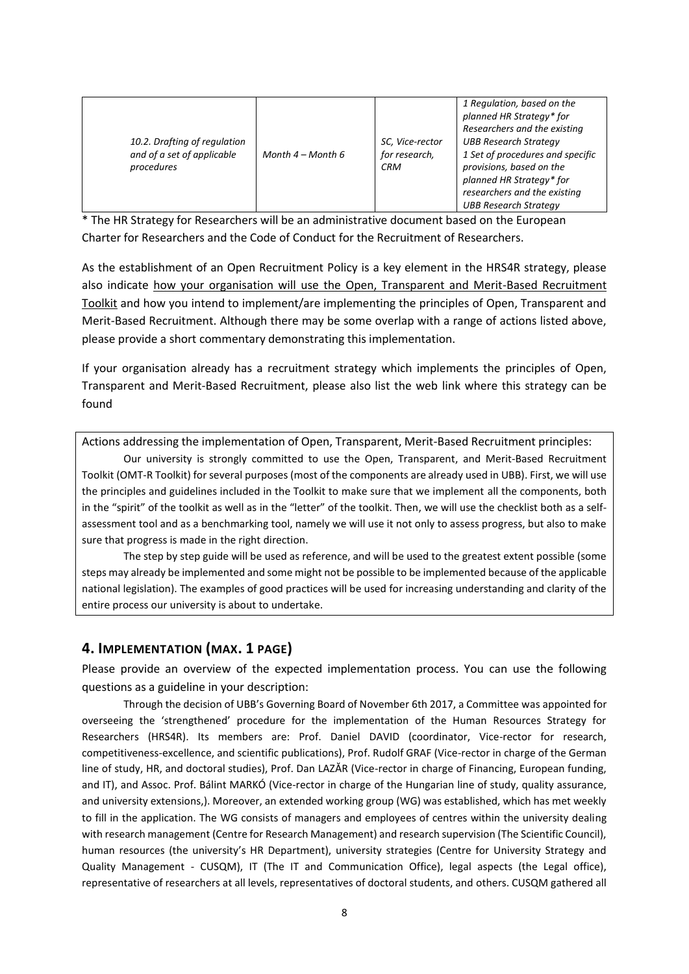| 10.2. Drafting of regulation<br>and of a set of applicable<br>procedures | Month $4 -$ Month 6 | SC, Vice-rector<br>for research,<br><b>CRM</b> | 1 Regulation, based on the<br>planned HR Strategy* for<br>Researchers and the existing<br><b>UBB Research Strategy</b><br>1 Set of procedures and specific<br>provisions, based on the<br>planned HR Strategy* for<br>researchers and the existing<br><b>UBB Research Strategy</b> |
|--------------------------------------------------------------------------|---------------------|------------------------------------------------|------------------------------------------------------------------------------------------------------------------------------------------------------------------------------------------------------------------------------------------------------------------------------------|
|--------------------------------------------------------------------------|---------------------|------------------------------------------------|------------------------------------------------------------------------------------------------------------------------------------------------------------------------------------------------------------------------------------------------------------------------------------|

\* The HR Strategy for Researchers will be an administrative document based on the European Charter for Researchers and the Code of Conduct for the Recruitment of Researchers.

As the establishment of an Open Recruitment Policy is a key element in the HRS4R strategy, please also indicate how your organisation will use the Open, Transparent and Merit-Based Recruitment Toolkit and how you intend to implement/are implementing the principles of Open, Transparent and Merit-Based Recruitment. Although there may be some overlap with a range of actions listed above, please provide a short commentary demonstrating this implementation.

If your organisation already has a recruitment strategy which implements the principles of Open, Transparent and Merit-Based Recruitment, please also list the web link where this strategy can be found

Actions addressing the implementation of Open, Transparent, Merit-Based Recruitment principles:

Our university is strongly committed to use the Open, Transparent, and Merit-Based Recruitment Toolkit (OMT-R Toolkit) for several purposes (most of the components are already used in UBB). First, we will use the principles and guidelines included in the Toolkit to make sure that we implement all the components, both in the "spirit" of the toolkit as well as in the "letter" of the toolkit. Then, we will use the checklist both as a selfassessment tool and as a benchmarking tool, namely we will use it not only to assess progress, but also to make sure that progress is made in the right direction.

The step by step guide will be used as reference, and will be used to the greatest extent possible (some steps may already be implemented and some might not be possible to be implemented because of the applicable national legislation). The examples of good practices will be used for increasing understanding and clarity of the entire process our university is about to undertake.

# **4. IMPLEMENTATION (MAX. 1 PAGE)**

Please provide an overview of the expected implementation process. You can use the following questions as a guideline in your description:

Through the decision of UBB's Governing Board of November 6th 2017, a Committee was appointed for overseeing the 'strengthened' procedure for the implementation of the Human Resources Strategy for Researchers (HRS4R). Its members are: Prof. Daniel DAVID (coordinator, Vice-rector for research, competitiveness-excellence, and scientific publications), Prof. Rudolf GRAF (Vice-rector in charge of the German line of study, HR, and doctoral studies), Prof. Dan LAZĂR (Vice-rector in charge of Financing, European funding, and IT), and Assoc. Prof. Bálint MARKÓ (Vice-rector in charge of the Hungarian line of study, quality assurance, and university extensions,). Moreover, an extended working group (WG) was established, which has met weekly to fill in the application. The WG consists of managers and employees of centres within the university dealing with research management (Centre for Research Management) and research supervision (The Scientific Council), human resources (the university's HR Department), university strategies (Centre for University Strategy and Quality Management - CUSQM), IT (The IT and Communication Office), legal aspects (the Legal office), representative of researchers at all levels, representatives of doctoral students, and others. CUSQM gathered all